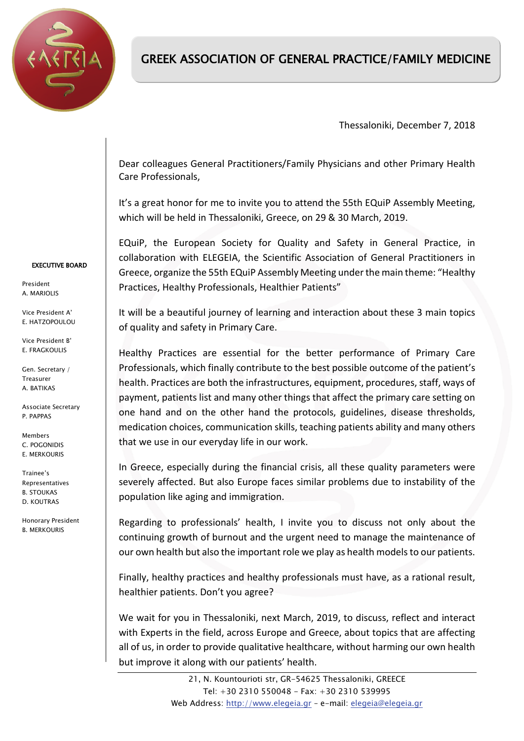

## GREEK ASSOCIATION OF GENERAL PRACTICE/FAMILY MEDICINE

Thessaloniki, December 7, 2018

Dear colleagues General Practitioners/Family Physicians and other Primary Health Care Professionals,

It's a great honor for me to invite you to attend the 55th EQuiP Assembly Meeting, which will be held in Thessaloniki, Greece, on 29 & 30 March, 2019.

EQuiP, the European Society for Quality and Safety in General Practice, in collaboration with ELEGEIA, the Scientific Association of General Practitioners in Greece, organize the 55th EQuiP Assembly Meeting under the main theme: "Healthy Practices, Healthy Professionals, Healthier Patients"

It will be a beautiful journey of learning and interaction about these 3 main topics of quality and safety in Primary Care.

Healthy Practices are essential for the better performance of Primary Care Professionals, which finally contribute to the best possible outcome of the patient's health. Practices are both the infrastructures, equipment, procedures, staff, ways of payment, patients list and many other things that affect the primary care setting on one hand and on the other hand the protocols, guidelines, disease thresholds, medication choices, communication skills, teaching patients ability and many others that we use in our everyday life in our work.

In Greece, especially during the financial crisis, all these quality parameters were severely affected. But also Europe faces similar problems due to instability of the population like aging and immigration.

Regarding to professionals' health, I invite you to discuss not only about the continuing growth of burnout and the urgent need to manage the maintenance of our own health but also the important role we play as health models to our patients.

Finally, healthy practices and healthy professionals must have, as a rational result, healthier patients. Don't you agree?

We wait for you in Thessaloniki, next March, 2019, to discuss, reflect and interact with Experts in the field, across Europe and Greece, about topics that are affecting all of us, in order to provide qualitative healthcare, without harming our own health but improve it along with our patients' health.

## EXECUTIVE BOARD

President A. MARIOLIS

Vice President Α' E. HATZOPOULOU

Vice President Β' E. FRAGKOULIS

Gen. Secretary / Treasurer A. BATIKAS

Associate Secretary P. PAPPAS

Members C. POGONIDIS E. MERKOURIS

Trainee's Representatives B. STOUKAS D. KOUTRAS

Honorary President B. MERKOURIS